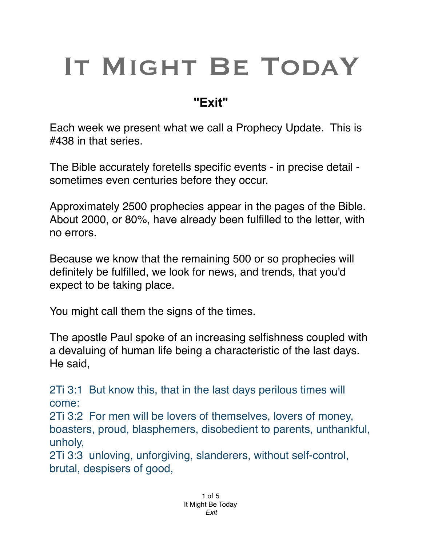## IT MIGHT BE TODAY

## **"Exit"**

Each week we present what we call a Prophecy Update. This is #438 in that series.

The Bible accurately foretells specific events - in precise detail sometimes even centuries before they occur.

Approximately 2500 prophecies appear in the pages of the Bible. About 2000, or 80%, have already been fulfilled to the letter, with no errors.

Because we know that the remaining 500 or so prophecies will definitely be fulfilled, we look for news, and trends, that you'd expect to be taking place.

You might call them the signs of the times.

The apostle Paul spoke of an increasing selfishness coupled with a devaluing of human life being a characteristic of the last days. He said,

2Ti 3:1 But know this, that in the last days perilous times will come:

2Ti 3:2 For men will be lovers of themselves, lovers of money, boasters, proud, blasphemers, disobedient to parents, unthankful, unholy,

2Ti 3:3 unloving, unforgiving, slanderers, without self-control, brutal, despisers of good,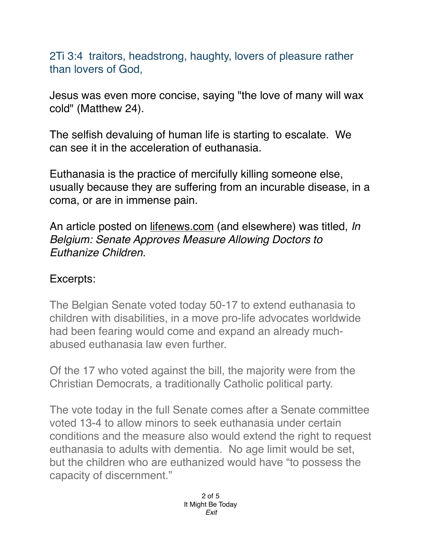2Ti 3:4 traitors, headstrong, haughty, lovers of pleasure rather than lovers of God,

Jesus was even more concise, saying "the love of many will wax cold" (Matthew 24).

The selfish devaluing of human life is starting to escalate. We can see it in the acceleration of euthanasia.

Euthanasia is the practice of mercifully killing someone else, usually because they are suffering from an incurable disease, in a coma, or are in immense pain.

An article posted on lif[enews.com](http://news.com) (and elsewhere) was titled, *In Belgium: Senate Approves Measure Allowing Doctors to Euthanize Children.*

## Excerpts:

The Belgian Senate voted today 50-17 to extend euthanasia to children with disabilities, in a move pro-life advocates worldwide had been fearing would come and expand an already muchabused euthanasia law even further.

Of the 17 who voted against the bill, the majority were from the Christian Democrats, a traditionally Catholic political party.

The vote today in the full Senate comes after a Senate committee voted 13-4 to allow minors to seek euthanasia under certain conditions and the measure also would extend the right to request euthanasia to adults with dementia. No age limit would be set, but the children who are euthanized would have "to possess the capacity of discernment."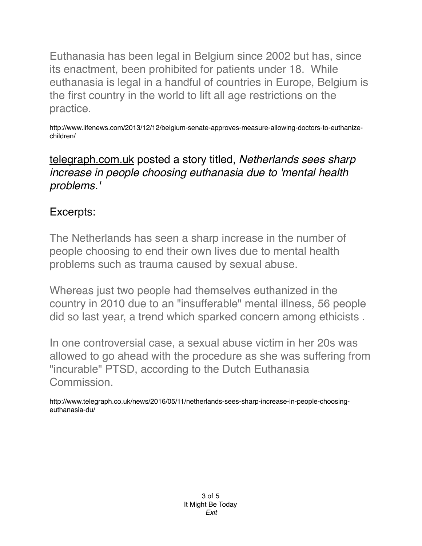Euthanasia has been legal in Belgium since 2002 but has, since its enactment, been prohibited for patients under 18. While euthanasia is legal in a handful of countries in Europe, Belgium is the first country in the world to lift all age restrictions on the practice.

http://www.lifenews.com/2013/12/12/belgium-senate-approves-measure-allowing-doctors-to-euthanizechildren/

[telegraph.com.uk](http://telegraph.com.uk) posted a story titled, *Netherlands sees sharp increase in people choosing euthanasia due to 'mental health problems.'*

## Excerpts:

The Netherlands has seen a sharp increase in the number of people choosing to end their own lives due to mental health problems such as trauma caused by sexual abuse.

Whereas just two people had themselves euthanized in the country in 2010 due to an "insufferable" mental illness, 56 people did so last year, a trend which sparked concern among ethicists .

In one controversial case, a sexual abuse victim in her 20s was allowed to go ahead with the procedure as she was suffering from "incurable" PTSD, according to the Dutch Euthanasia Commission.

http://www.telegraph.co.uk/news/2016/05/11/netherlands-sees-sharp-increase-in-people-choosingeuthanasia-du/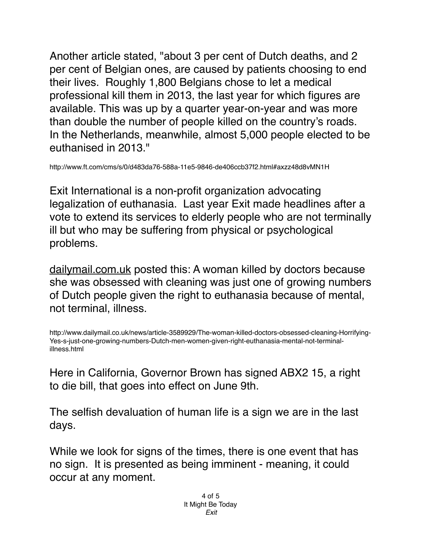Another article stated, "about 3 per cent of Dutch deaths, and 2 per cent of Belgian ones, are caused by patients choosing to end their lives. Roughly 1,800 Belgians chose to let a medical professional kill them in 2013, the last year for which figures are available. This was up by a quarter year-on-year and was more than double the number of people killed on the country's roads. In the Netherlands, meanwhile, almost 5,000 people elected to be euthanised in 2013."

http://www.ft.com/cms/s/0/d483da76-588a-11e5-9846-de406ccb37f2.html#axzz48d8vMN1H

Exit International is a non-profit organization advocating legalization of euthanasia. Last year Exit made headlines after a vote to extend its services to elderly people who are not terminally ill but who may be suffering from physical or psychological problems.

[dailymail.com.uk](http://dailymail.com.uk) posted this: A woman killed by doctors because she was obsessed with cleaning was just one of growing numbers of Dutch people given the right to euthanasia because of mental, not terminal, illness.

http://www.dailymail.co.uk/news/article-3589929/The-woman-killed-doctors-obsessed-cleaning-Horrifying-Yes-s-just-one-growing-numbers-Dutch-men-women-given-right-euthanasia-mental-not-terminalillness.html

Here in California, Governor Brown has signed ABX2 15, a right to die bill, that goes into effect on June 9th.

The selfish devaluation of human life is a sign we are in the last days.

While we look for signs of the times, there is one event that has no sign. It is presented as being imminent - meaning, it could occur at any moment.